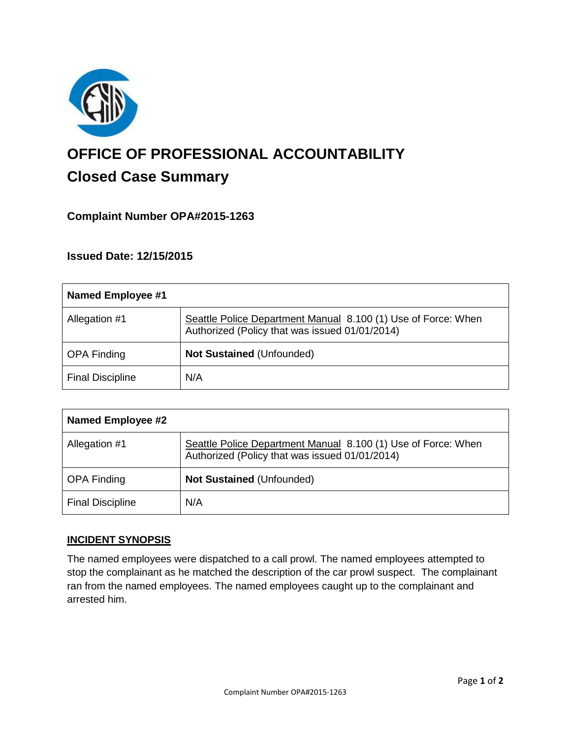

# **OFFICE OF PROFESSIONAL ACCOUNTABILITY Closed Case Summary**

## **Complaint Number OPA#2015-1263**

### **Issued Date: 12/15/2015**

| Named Employee #1       |                                                                                                                 |
|-------------------------|-----------------------------------------------------------------------------------------------------------------|
| Allegation #1           | Seattle Police Department Manual 8.100 (1) Use of Force: When<br>Authorized (Policy that was issued 01/01/2014) |
| <b>OPA Finding</b>      | <b>Not Sustained (Unfounded)</b>                                                                                |
| <b>Final Discipline</b> | N/A                                                                                                             |

| <b>Named Employee #2</b> |                                                                                                                 |
|--------------------------|-----------------------------------------------------------------------------------------------------------------|
| Allegation #1            | Seattle Police Department Manual 8.100 (1) Use of Force: When<br>Authorized (Policy that was issued 01/01/2014) |
| <b>OPA Finding</b>       | <b>Not Sustained (Unfounded)</b>                                                                                |
| <b>Final Discipline</b>  | N/A                                                                                                             |

#### **INCIDENT SYNOPSIS**

The named employees were dispatched to a call prowl. The named employees attempted to stop the complainant as he matched the description of the car prowl suspect. The complainant ran from the named employees. The named employees caught up to the complainant and arrested him.